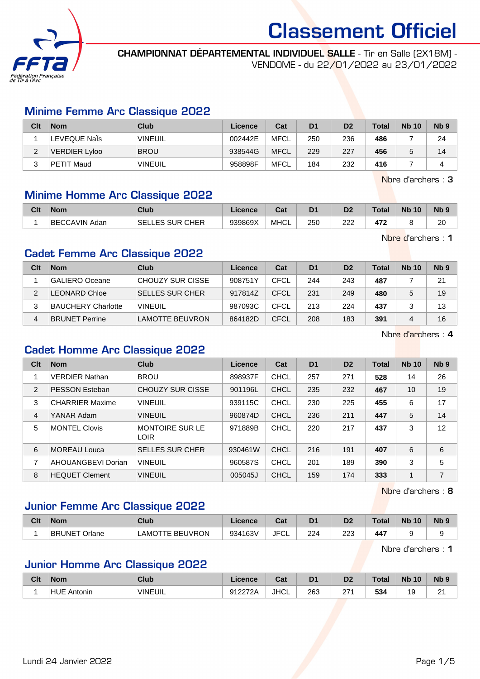

CHAMPIONNAT DÉPARTEMENTAL INDIVIDUEL SALLE - Tir en Salle (2X18M) -

VENDOME - du 22/01/2022 au 23/01/2022

#### Minime Femme Arc Classique 2022

| Clt           | <b>Nom</b>    | Club           | Licence | Cat         | D <sub>1</sub> | D <sub>2</sub> | Total | <b>Nb 10</b> | N <sub>b</sub> <sub>9</sub> |
|---------------|---------------|----------------|---------|-------------|----------------|----------------|-------|--------------|-----------------------------|
|               | LEVEQUE Nals  | <b>VINEUIL</b> | 002442E | MFCL        | 250            | 236            | 486   |              | 24                          |
| ົ<br><u>_</u> | VERDIER Lyloo | <b>BROU</b>    | 938544G | <b>MFCL</b> | 229            | 227            | 456   |              | 14                          |
|               | PETIT Maud    | <b>VINEUIL</b> | 958898F | <b>MFCL</b> | 184            | 232            | 416   |              |                             |

Nbre d'archers : 3

#### Minime Homme Arc Classique 2022

| Clt | <b>Nom</b>       | Club                      | Licence | ∩~'<br>ual  | D <sub>1</sub> | D <sub>2</sub> | <b>Total</b> | <b>N<sub>b</sub></b><br>10 | N <sub>b</sub> <sub>9</sub> |
|-----|------------------|---------------------------|---------|-------------|----------------|----------------|--------------|----------------------------|-----------------------------|
|     | BECCAVIN<br>Adan | ES SUR CHER<br>SEI<br>--- | 939869X | <b>MHCL</b> | 250            | ∩∩<br>ے        | 472          |                            | 20                          |

Nbre d'archers : 1

### Cadet Femme Arc Classique 2022

| Clt | <b>Nom</b>                | Club                    | Licence | Cat  | D <sub>1</sub> | D <sub>2</sub> | Total | <b>Nb 10</b> | N <sub>b</sub> <sub>9</sub> |
|-----|---------------------------|-------------------------|---------|------|----------------|----------------|-------|--------------|-----------------------------|
|     | GALIERO Oceane            | <b>CHOUZY SUR CISSE</b> | 908751Y | CFCL | 244            | 243            | 487   |              | 21                          |
|     | LEONARD Chloe             | <b>SELLES SUR CHER</b>  | 917814Z | CFCL | 231            | 249            | 480   |              | 19                          |
|     | <b>BAUCHERY Charlotte</b> | <b>VINEUIL</b>          | 987093C | CFCL | 213            | 224            | 437   |              | 13                          |
| 4   | BRUNET Perrine            | LAMOTTE BEUVRON         | 864182D | CFCL | 208            | 183            | 391   |              | 16                          |

Nbre d'archers : 4

#### Cadet Homme Arc Classique 2022

| Clt            | <b>Nom</b>             | <b>Club</b>                           | Licence | Cat         | D <sub>1</sub> | D <sub>2</sub> | <b>Total</b> | <b>Nb 10</b> | N <sub>b</sub> <sub>9</sub> |
|----------------|------------------------|---------------------------------------|---------|-------------|----------------|----------------|--------------|--------------|-----------------------------|
|                | <b>VERDIER Nathan</b>  | <b>BROU</b>                           | 898937F | <b>CHCL</b> | 257            | 271            | 528          | 14           | 26                          |
| 2              | <b>PESSON Esteban</b>  | CHOUZY SUR CISSE                      | 901196L | CHCL        | 235            | 232            | 467          | 10           | 19                          |
| 3              | <b>CHARRIER Maxime</b> | <b>VINEUIL</b>                        | 939115C | CHCL        | 230            | 225            | 455          | 6            | 17                          |
| $\overline{4}$ | YANAR Adam             | <b>VINEUIL</b>                        | 960874D | CHCL        | 236            | 211            | 447          | 5            | 14                          |
| 5              | <b>MONTEL Clovis</b>   | <b>MONTOIRE SUR LE</b><br><b>LOIR</b> | 971889B | CHCL        | 220            | 217            | 437          | 3            | 12                          |
| 6              | <b>MOREAU Louca</b>    | <b>SELLES SUR CHER</b>                | 930461W | CHCL        | 216            | 191            | 407          | 6            | 6                           |
| 7              | AHOUANGBEVI Dorian     | <b>VINEUIL</b>                        | 960587S | CHCL        | 201            | 189            | 390          | 3            | 5                           |
| 8              | <b>HEQUET Clement</b>  | <b>VINEUIL</b>                        | 005045J | <b>CHCL</b> | 159            | 174            | 333          | 1            | 7                           |

Nbre d'archers : 8

#### Junior Femme Arc Classique 2022

| Clt | <b>Nom</b>                  | Club                           | Licence | <b>Take</b><br>⊍a | D <sub>1</sub> | D <sub>2</sub> | Total | <b>N<sub>b</sub></b><br>10 | N <sub>b</sub> <sub>9</sub> |
|-----|-----------------------------|--------------------------------|---------|-------------------|----------------|----------------|-------|----------------------------|-----------------------------|
|     | <b>BRUNET Orl</b><br>Orlane | <b>BEUVRON</b><br>TE .<br>LAMO | 934163V | JFC'<br>◡∟        | 224            | າາາ<br>220     | 447   |                            |                             |

Nbre d'archers : 1

#### Junior Homme Arc Classique 2022

| Clt | <b>Nom</b>         | Club           | icence        | יה<br>vai   | D <sub>1</sub> | D <sub>2</sub> | <b>Total</b> | <b>N<sub>k</sub></b><br>10 | Nb <sub>9</sub>    |
|-----|--------------------|----------------|---------------|-------------|----------------|----------------|--------------|----------------------------|--------------------|
|     | <b>HUE Antonin</b> | <b>VINEUIL</b> | 0122721<br>ンム | <b>JHCL</b> | 263            | 57.            | 534          | ໍ<br>ັ                     | $\sim$<br><u>_</u> |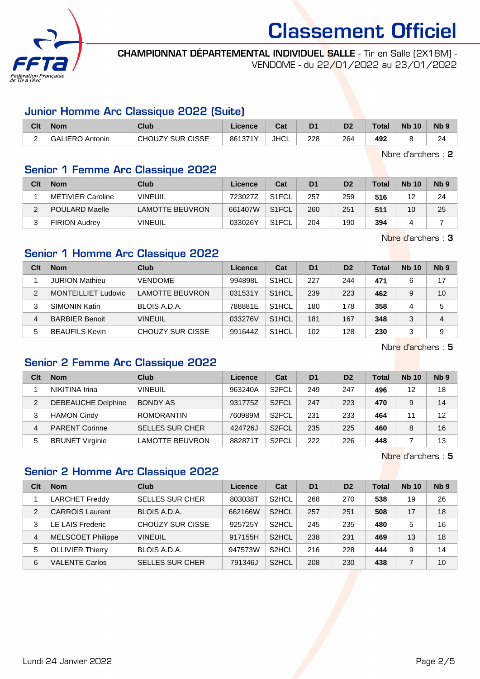

CHAMPIONNAT DÉPARTEMENTAL INDIVIDUEL SALLE - Tir en Salle (2X18M) - VENDOME - du 22/01/2022 au 23/01/2022

#### Junior Homme Arc Classique 2022 (Suite)

| Clt | <b>Nom</b>          | Club                    | Licence | <b>Tat</b><br>saı | D <sub>1</sub> | n <sub>o</sub> | Total | <b>N<sub>b</sub></b><br>10 | N <sub>b</sub> <sub>9</sub> |
|-----|---------------------|-------------------------|---------|-------------------|----------------|----------------|-------|----------------------------|-----------------------------|
|     | 'GALIERO<br>Antonin | <b>CHOUZY SUR CISSE</b> | 861371Y | <b>JHCL</b>       | 228            | 264            | 492   |                            | 24                          |

Nbre d'archers : 2

### Senior 1 Femme Arc Classique 2022

| Clt | <b>Nom</b>           | Club                   | Licence | Cat                | D <sub>1</sub> | D <sub>2</sub> | Total | <b>Nb 10</b> | Nb <sub>9</sub> |
|-----|----------------------|------------------------|---------|--------------------|----------------|----------------|-------|--------------|-----------------|
|     | METIVIER Caroline    | <b>VINEUIL</b>         | 723027Z | S <sub>1</sub> FCL | 257            | 259            | 516   | 12           | 24              |
| ົ   | POULARD Maelle       | <b>LAMOTTE BEUVRON</b> | 661407W | S <sub>1</sub> FCL | 260            | 251            | 511   | 10           | 25              |
| ◠   | <b>FIRION Audrey</b> | <b>VINEUIL</b>         | 033026Y | S <sub>1</sub> FCL | 204            | 190            | 394   |              |                 |

Nbre d'archers : 3

## Senior 1 Homme Arc Classique 2022

| Clt | <b>Nom</b>                 | Club                    | Licence | Cat                | D <sub>1</sub> | D <sub>2</sub> | Total | <b>Nb 10</b> | Nb <sub>9</sub> |
|-----|----------------------------|-------------------------|---------|--------------------|----------------|----------------|-------|--------------|-----------------|
|     | <b>JURION Mathieu</b>      | <b>VENDOME</b>          | 994898L | S <sub>1</sub> HCL | 227            | 244            | 471   | 6            | 17              |
| 2   | <b>MONTEILLIET Ludovic</b> | LAMOTTE BEUVRON         | 031531Y | S <sub>1</sub> HCL | 239            | 223            | 462   | 9            | 10              |
| 3   | <b>SIMONIN Katin</b>       | BLOIS A.D.A.            | 788881E | S <sub>1</sub> HCL | 180            | 178            | 358   | 4            | 5               |
| 4   | <b>BARBIER Benoit</b>      | <b>VINEUIL</b>          | 033276V | S <sub>1</sub> HCL | 181            | 167            | 348   | 3            | 4               |
| 5   | <b>BEAUFILS Kevin</b>      | <b>CHOUZY SUR CISSE</b> | 991644Z | S <sub>1</sub> HCL | 102            | 128            | 230   | 3            | 9               |

Nbre d'archers : 5

# Senior 2 Femme Arc Classique 2022

| Clt | <b>Nom</b>                | Club                   | Licence | Cat                | D <sub>1</sub> | D <sub>2</sub> | <b>Total</b> | <b>Nb 10</b> | Nb <sub>9</sub> |
|-----|---------------------------|------------------------|---------|--------------------|----------------|----------------|--------------|--------------|-----------------|
|     | NIKITINA Irina            | <b>VINEUIL</b>         | 963240A | S <sub>2</sub> FCL | 249            | 247            | 496          | 12           | 18              |
| 2   | <b>DEBEAUCHE Delphine</b> | <b>BONDY AS</b>        | 931775Z | S <sub>2</sub> FCL | 247            | 223            | 470          | 9            | 14              |
| 3   | <b>HAMON Cindy</b>        | <b>ROMORANTIN</b>      | 760989M | S <sub>2</sub> FCL | 231            | 233            | 464          | 11           | 12              |
| 4   | <b>PARENT Corinne</b>     | <b>SELLES SUR CHER</b> | 424726J | S <sub>2</sub> FCL | 235            | 225            | 460          | 8            | 16              |
| 5   | <b>BRUNET Virginie</b>    | LAMOTTE BEUVRON        | 882871T | S <sub>2</sub> FCL | 222            | 226            | 448          |              | 13              |

Nbre d'archers : 5

#### Senior 2 Homme Arc Classique 2022

| Clt | <b>Nom</b>               | Club                   | Licence | Cat                | D <sub>1</sub> | D <sub>2</sub> | Total | <b>Nb 10</b> | Nb <sub>9</sub> |
|-----|--------------------------|------------------------|---------|--------------------|----------------|----------------|-------|--------------|-----------------|
|     | <b>LARCHET Freddy</b>    | <b>SELLES SUR CHER</b> | 803038T | S <sub>2</sub> HCL | 268            | 270            | 538   | 19           | 26              |
| 2   | <b>CARROIS Laurent</b>   | BLOIS A.D.A.           | 662166W | S <sub>2</sub> HCL | 257            | 251            | 508   | 17           | 18              |
| 3   | E LAIS Frederic          | CHOUZY SUR CISSE       | 925725Y | S <sub>2</sub> HCL | 245            | 235            | 480   | 5            | 16              |
| 4   | <b>MELSCOET Philippe</b> | <b>VINEUIL</b>         | 917155H | S <sub>2</sub> HCL | 238            | 231            | 469   | 13           | 18              |
| 5   | <b>OLLIVIER Thierry</b>  | BLOIS A.D.A.           | 947573W | S <sub>2</sub> HCL | 216            | 228            | 444   | 9            | 14              |
| 6   | <b>VALENTE Carlos</b>    | <b>SELLES SUR CHER</b> | 791346J | S <sub>2</sub> HCL | 208            | 230            | 438   |              | 10              |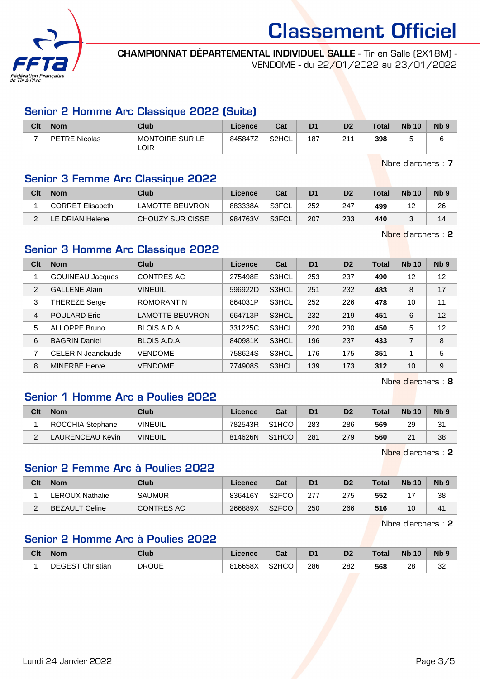

CHAMPIONNAT DÉPARTEMENTAL INDIVIDUEL SALLE - Tir en Salle (2X18M) - VENDOME - du 22/01/2022 au 23/01/2022

### Senior 2 Homme Arc Classique 2022 (Suite)

| Clt | <b>Nom</b>           | Club                    | <b>Licence</b> | Cat   | D <sub>1</sub> | D <sub>2</sub>  | <b>Total</b> | <b>Nb 10</b> | N <sub>b</sub> <sub>9</sub> |
|-----|----------------------|-------------------------|----------------|-------|----------------|-----------------|--------------|--------------|-----------------------------|
|     | <b>PETRE Nicolas</b> | MONTOIRE SUR LE<br>LOIR | 845847Z        | S2HCL | 187            | 244<br><u>L</u> | 398          |              |                             |

Nbre d'archers : 7

## Senior 3 Femme Arc Classique 2022

| Clt | <b>Nom</b>       | Club             | Licence | Cat   | D <sub>1</sub> | D <sub>2</sub> | $\tau$ otal | <b>Nb 10</b> | N <sub>b</sub> 9 |
|-----|------------------|------------------|---------|-------|----------------|----------------|-------------|--------------|------------------|
|     | CORRET Elisabeth | LAMOTTE BEUVRON  | 883338A | S3FCL | 252            | 247            | 499         | ╺            | 26               |
|     | LE DRIAN Helene  | CHOUZY SUR CISSE | 984763V | S3FCL | 207            | 233            | 440         |              | 14               |

Nbre d'archers : 2

# Senior 3 Homme Arc Classique 2022

| Clt            | <b>Nom</b>                | Club                   | Licence | Cat   | D <sub>1</sub> | D <sub>2</sub> | <b>Total</b> | <b>Nb 10</b> | N <sub>b</sub> <sub>9</sub> |
|----------------|---------------------------|------------------------|---------|-------|----------------|----------------|--------------|--------------|-----------------------------|
|                | <b>GOUINEAU Jacques</b>   | <b>CONTRES AC</b>      | 275498E | S3HCL | 253            | 237            | 490          | 12           | 12                          |
| $\overline{2}$ | <b>GALLENE Alain</b>      | <b>VINEUIL</b>         | 596922D | S3HCL | 251            | 232            | 483          | 8            | 17                          |
| 3              | <b>THEREZE Serge</b>      | <b>ROMORANTIN</b>      | 864031P | S3HCL | 252            | 226            | 478          | 10           | 11                          |
| 4              | <b>POULARD Eric</b>       | <b>LAMOTTE BEUVRON</b> | 664713P | S3HCL | 232            | 219            | 451          | 6            | 12                          |
| 5              | <b>ALLOPPE Bruno</b>      | BLOIS A.D.A.           | 331225C | S3HCL | 220            | 230            | 450          | 5            | 12                          |
| 6              | <b>BAGRIN Daniel</b>      | BLOIS A.D.A.           | 840981K | S3HCL | 196            | 237            | 433          | 7            | 8                           |
| 7              | <b>CELERIN Jeanclaude</b> | <b>VENDOME</b>         | 758624S | S3HCL | 176            | 175            | 351          | 1            | 5                           |
| 8              | <b>MINERBE Herve</b>      | <b>VENDOME</b>         | 774908S | S3HCL | 139            | 173            | 312          | 10           | 9                           |

Nbre d'archers : 8

#### Senior 1 Homme Arc a Poulies 2022

| Clt | <b>Nom</b>       | Club           | ∟icence | Cat                | D <sub>1</sub> | D2  | <b>Total</b> | <b>Nb 10</b> | N <sub>b</sub> <sub>9</sub> |
|-----|------------------|----------------|---------|--------------------|----------------|-----|--------------|--------------|-----------------------------|
|     | ROCCHIA Stephane | <b>VINEUIL</b> | 782543R | S <sub>1</sub> HCO | 283            | 286 | 569          | 29           | 31                          |
|     | LAURENCEAU Kevin | VINEUIL        | 814626N | S <sub>1</sub> HCO | 281            | 279 | 560          | 21           | 38                          |

Nbre d'archers : 2

#### Senior 2 Femme Arc à Poulies 2022

| Clt | <b>Nom</b>             | Club              | Licence | Cat                | D <sub>1</sub> | D2  | <b>Total</b> | <b>Nb 10</b> | N <sub>b</sub> 9 |
|-----|------------------------|-------------------|---------|--------------------|----------------|-----|--------------|--------------|------------------|
|     | <b>LEROUX Nathalie</b> | <b>SAUMUR</b>     | 836416Y | S <sub>2</sub> FCO | 277            | 275 | 552          |              | 38               |
|     | ∣BEZAULT Celine        | <b>CONTRES AC</b> | 266889X | S <sub>2</sub> FCO | 250            | 266 | 516          | 10           | 41               |

Nbre d'archers : 2

### Senior 2 Homme Arc à Poulies 2022

| Clt | <b>Nom</b>       | Club         | Licence | $R_{\alpha}$<br>⊌a⊧ | D <sub>1</sub> | D <sub>2</sub> | Total | <b>N<sub>b</sub></b><br>10 | N <sub>b</sub> <sub>9</sub> |
|-----|------------------|--------------|---------|---------------------|----------------|----------------|-------|----------------------------|-----------------------------|
|     | DEGEST Christian | <b>DROUE</b> | 816658X | S <sub>2</sub> HCO  | 286            | 282            | 568   | 28                         | n <sub>n</sub><br>ےں        |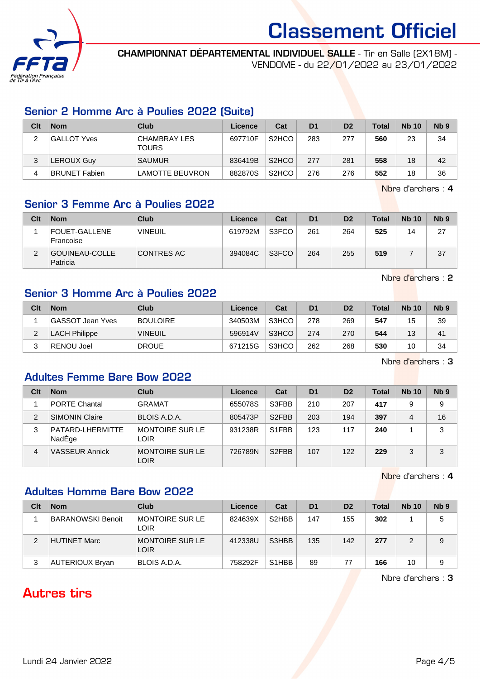

CHAMPIONNAT DÉPARTEMENTAL INDIVIDUEL SALLE - Tir en Salle (2X18M) - VENDOME - du 22/01/2022 au 23/01/2022

#### Senior 2 Homme Arc à Poulies 2022 (Suite)

| Clt | <b>Nom</b>           | Club                                | Licence | Cat                            | D <sub>1</sub> | D <sub>2</sub> | <b>Total</b> | <b>Nb 10</b> | Nb <sub>9</sub> |
|-----|----------------------|-------------------------------------|---------|--------------------------------|----------------|----------------|--------------|--------------|-----------------|
| ົ   | <b>GALLOT Yves</b>   | <b>CHAMBRAY LES</b><br><b>TOURS</b> | 697710F | S <sub>2</sub> HCO             | 283            | 277            | 560          | 23           | 34              |
| 3   | <b>LEROUX Guy</b>    | <b>SAUMUR</b>                       | 836419B | S <sub>2</sub> HCO             | 277            | 281            | 558          | 18           | 42              |
| 4   | <b>BRUNET Fabien</b> | <b>LAMOTTE BEUVRON</b>              | 882870S | S <sub>2</sub> H <sub>CO</sub> | 276            | 276            | 552          | 18           | 36              |

Nbre d'archers : 4

## Senior 3 Femme Arc à Poulies 2022

| Clt | <b>Nom</b>                        | <b>Club</b>    | Licence | Cat   | D <sub>1</sub> | D <sub>2</sub> | <b>Total</b> | <b>Nb 10</b> | Nb <sub>9</sub> |
|-----|-----------------------------------|----------------|---------|-------|----------------|----------------|--------------|--------------|-----------------|
|     | <b>FOUET-GALLENE</b><br>Francoise | <b>VINEUIL</b> | 619792M | S3FCO | 261            | 264            | 525          | 14           | 27              |
| ົ   | GOUINEAU-COLLE<br>Patricia        | CONTRES AC     | 394084C | S3FCO | 264            | 255            | 519          |              | 37              |

Nbre d'archers : 2

#### Senior 3 Homme Arc à Poulies 2022

| Clt | <b>Nom</b>              | Club            | Licence | Cat   | D <sub>1</sub> | D <sub>2</sub> | <b>Total</b> | <b>Nb 10</b> | N <sub>b</sub> <sub>9</sub> |
|-----|-------------------------|-----------------|---------|-------|----------------|----------------|--------------|--------------|-----------------------------|
|     | <b>GASSOT Jean Yves</b> | <b>BOULOIRE</b> | 340503M | S3HCO | 278            | 269            | 547          | 15           | 39                          |
|     | <b>LACH Philippe</b>    | <b>VINEUIL</b>  | 596914V | S3HCO | 274            | 270            | 544          | 13           | 41                          |
| ົ   | <b>RENOU Joel</b>       | <b>DROUE</b>    | 671215G | S3HCO | 262            | 268            | 530          | 10           | 34                          |

Nbre d'archers : 3

#### Adultes Femme Bare Bow 2022

| Clt            | <b>Nom</b>                 | Club                           | Licence | Cat                | D <sub>1</sub> | D <sub>2</sub> | <b>Total</b> | <b>Nb 10</b> | N <sub>b</sub> <sub>9</sub> |
|----------------|----------------------------|--------------------------------|---------|--------------------|----------------|----------------|--------------|--------------|-----------------------------|
|                | <b>PORTE Chantal</b>       | <b>GRAMAT</b>                  | 655078S | S3FBB              | 210            | 207            | 417          | 9            | 9                           |
| $\mathfrak{p}$ | <b>SIMONIN Claire</b>      | BLOIS A.D.A.                   | 805473P | S <sub>2</sub> FBB | 203            | 194            | 397          | 4            | 16                          |
| 3              | PATARD-LHERMITTE<br>NadEge | MONTOIRE SUR LE<br>LOIR        | 931238R | S1FBB              | 123            | 117            | 240          |              | 3                           |
| 4              | <b>VASSEUR Annick</b>      | <b>MONTOIRE SUR LE</b><br>LOIR | 726789N | S <sub>2</sub> FBB | 107            | 122            | 229          | 3            | 3                           |

Nbre d'archers : 4

### Adultes Homme Bare Bow 2022

| Clt | <b>Nom</b>        | Club                           | Licence | Cat                             | D <sub>1</sub> | D <sub>2</sub> | Total | <b>Nb 10</b> | N <sub>b</sub> <sub>9</sub> |
|-----|-------------------|--------------------------------|---------|---------------------------------|----------------|----------------|-------|--------------|-----------------------------|
|     | BARANOWSKI Benoit | MONTOIRE SUR LE<br>LOIR        | 824639X | S <sub>2</sub> H <sub>BB</sub>  | 147            | 155            | 302   |              | 5                           |
| 2   | HUTINET Marc      | MONTOIRE SUR LE<br><b>LOIR</b> | 412338U | S3HBB                           | 135            | 142            | 277   |              | 9                           |
| 3   | AUTERIOUX Bryan   | BLOIS A.D.A.                   | 758292F | S <sub>1</sub> H <sub>B</sub> B | 89             | 77             | 166   | 10           | 9                           |

Nbre d'archers : 3

# Autres tirs